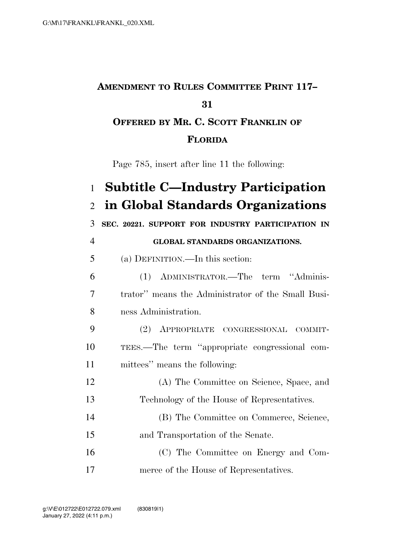## **AMENDMENT TO RULES COMMITTEE PRINT 117– OFFERED BY MR. C. SCOTT FRANKLIN OF FLORIDA**

Page 785, insert after line 11 the following:

| $\mathbf{1}$   | <b>Subtitle C—Industry Participation</b>           |
|----------------|----------------------------------------------------|
| $\overline{2}$ | in Global Standards Organizations                  |
| 3              | SEC. 20221. SUPPORT FOR INDUSTRY PARTICIPATION IN  |
| $\overline{4}$ | GLOBAL STANDARDS ORGANIZATIONS.                    |
| 5              | (a) DEFINITION.—In this section:                   |
| 6              | ADMINISTRATOR.—The term "Adminis-<br>(1)           |
| $\overline{7}$ | trator" means the Administrator of the Small Busi- |
| 8              | ness Administration.                               |
| 9              | (2)<br>APPROPRIATE CONGRESSIONAL COMMIT-           |
| 10             | TEES.—The term "appropriate congressional com-     |
| 11             | mittees" means the following:                      |
| 12             | (A) The Committee on Science, Space, and           |
| 13             | Technology of the House of Representatives.        |
| 14             | (B) The Committee on Commerce, Science,            |
| 15             | and Transportation of the Senate.                  |
| 16             | (C) The Committee on Energy and Com-               |
| 17             | merce of the House of Representatives.             |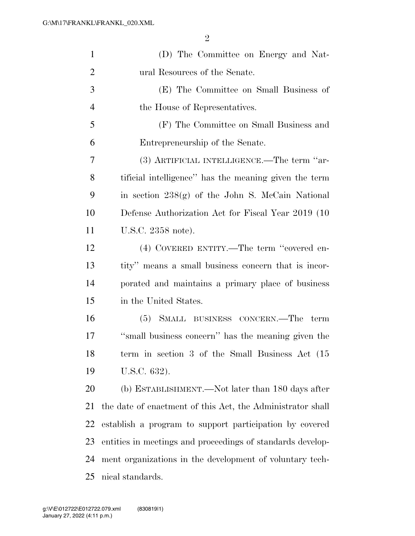| 1              | (D) The Committee on Energy and Nat-                       |
|----------------|------------------------------------------------------------|
| $\overline{2}$ | ural Resources of the Senate.                              |
| 3              | (E) The Committee on Small Business of                     |
| $\overline{4}$ | the House of Representatives.                              |
| 5              | (F) The Committee on Small Business and                    |
| 6              | Entrepreneurship of the Senate.                            |
| 7              | (3) ARTIFICIAL INTELLIGENCE.—The term "ar-                 |
| 8              | tificial intelligence" has the meaning given the term      |
| 9              | in section $238(g)$ of the John S. McCain National         |
| 10             | Defense Authorization Act for Fiscal Year 2019 (10)        |
| 11             | U.S.C. 2358 note).                                         |
| 12             | (4) COVERED ENTITY.—The term "covered en-                  |
| 13             | tity" means a small business concern that is incor-        |
| 14             | porated and maintains a primary place of business          |
| 15             | in the United States.                                      |
| 16             | (5) SMALL BUSINESS CONCERN.—The term                       |
| 17             | "small business concern" has the meaning given the         |
| 18             | term in section 3 of the Small Business Act (15            |
| 19             | U.S.C. 632).                                               |
| 20             | (b) ESTABLISHMENT.—Not later than 180 days after           |
| 21             | the date of enactment of this Act, the Administrator shall |
| 22             | establish a program to support participation by covered    |
| 23             | entities in meetings and proceedings of standards develop- |
| 24             | ment organizations in the development of voluntary tech-   |
| 25             | nical standards.                                           |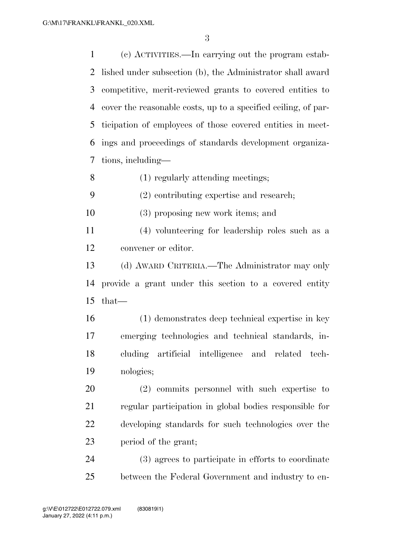(c) ACTIVITIES.—In carrying out the program estab- lished under subsection (b), the Administrator shall award competitive, merit-reviewed grants to covered entities to cover the reasonable costs, up to a specified ceiling, of par- ticipation of employees of those covered entities in meet- ings and proceedings of standards development organiza-tions, including—

(1) regularly attending meetings;

(2) contributing expertise and research;

(3) proposing new work items; and

 (4) volunteering for leadership roles such as a convener or editor.

 (d) AWARD CRITERIA.—The Administrator may only provide a grant under this section to a covered entity that—

 (1) demonstrates deep technical expertise in key emerging technologies and technical standards, in- cluding artificial intelligence and related tech-nologies;

 (2) commits personnel with such expertise to regular participation in global bodies responsible for developing standards for such technologies over the period of the grant;

 (3) agrees to participate in efforts to coordinate between the Federal Government and industry to en-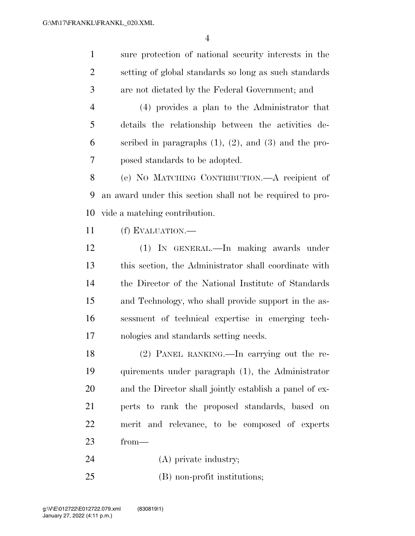sure protection of national security interests in the setting of global standards so long as such standards are not dictated by the Federal Government; and (4) provides a plan to the Administrator that details the relationship between the activities de- scribed in paragraphs (1), (2), and (3) and the pro- posed standards to be adopted. (e) NO MATCHING CONTRIBUTION.—A recipient of an award under this section shall not be required to pro- vide a matching contribution. (f) EVALUATION.— (1) IN GENERAL.—In making awards under this section, the Administrator shall coordinate with the Director of the National Institute of Standards and Technology, who shall provide support in the as- sessment of technical expertise in emerging tech-nologies and standards setting needs.

 (2) PANEL RANKING.—In carrying out the re- quirements under paragraph (1), the Administrator and the Director shall jointly establish a panel of ex- perts to rank the proposed standards, based on merit and relevance, to be composed of experts from—

- 24 (A) private industry;
- (B) non-profit institutions;